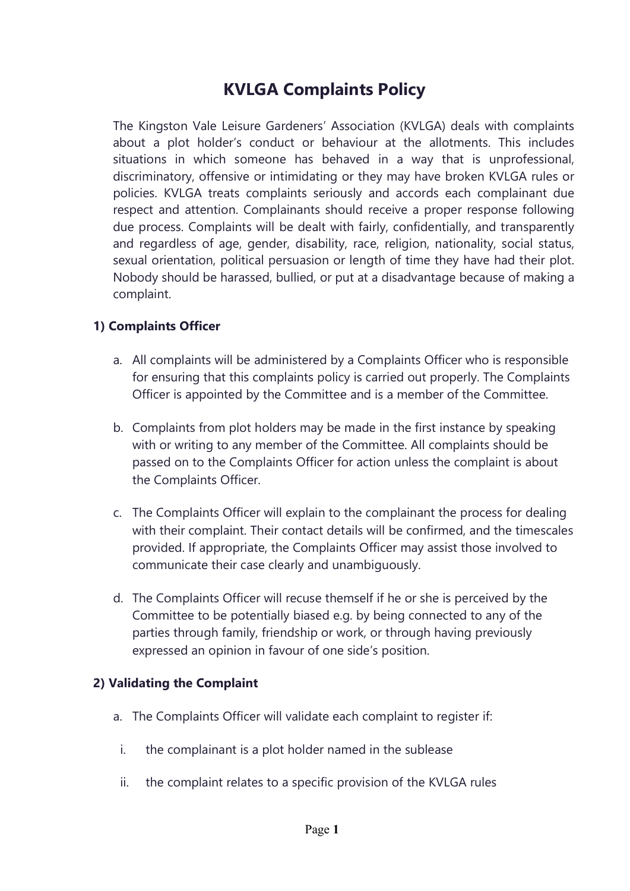# **KVLGA Complaints Policy**

The Kingston Vale Leisure Gardeners' Association (KVLGA) deals with complaints about a plot holder's conduct or behaviour at the allotments. This includes situations in which someone has behaved in a way that is unprofessional, discriminatory, offensive or intimidating or they may have broken KVLGA rules or policies. KVLGA treats complaints seriously and accords each complainant due respect and attention. Complainants should receive a proper response following due process. Complaints will be dealt with fairly, confidentially, and transparently and regardless of age, gender, disability, race, religion, nationality, social status, sexual orientation, political persuasion or length of time they have had their plot. Nobody should be harassed, bullied, or put at a disadvantage because of making a complaint.

#### **1) Complaints Officer**

- a. All complaints will be administered by a Complaints Officer who is responsible for ensuring that this complaints policy is carried out properly. The Complaints Officer is appointed by the Committee and is a member of the Committee.
- b. Complaints from plot holders may be made in the first instance by speaking with or writing to any member of the Committee. All complaints should be passed on to the Complaints Officer for action unless the complaint is about the Complaints Officer.
- c. The Complaints Officer will explain to the complainant the process for dealing with their complaint. Their contact details will be confirmed, and the timescales provided. If appropriate, the Complaints Officer may assist those involved to communicate their case clearly and unambiguously.
- d. The Complaints Officer will recuse themself if he or she is perceived by the Committee to be potentially biased e.g. by being connected to any of the parties through family, friendship or work, or through having previously expressed an opinion in favour of one side's position.

#### **2) Validating the Complaint**

- a. The Complaints Officer will validate each complaint to register if:
- i. the complainant is a plot holder named in the sublease
- ii. the complaint relates to a specific provision of the KVLGA rules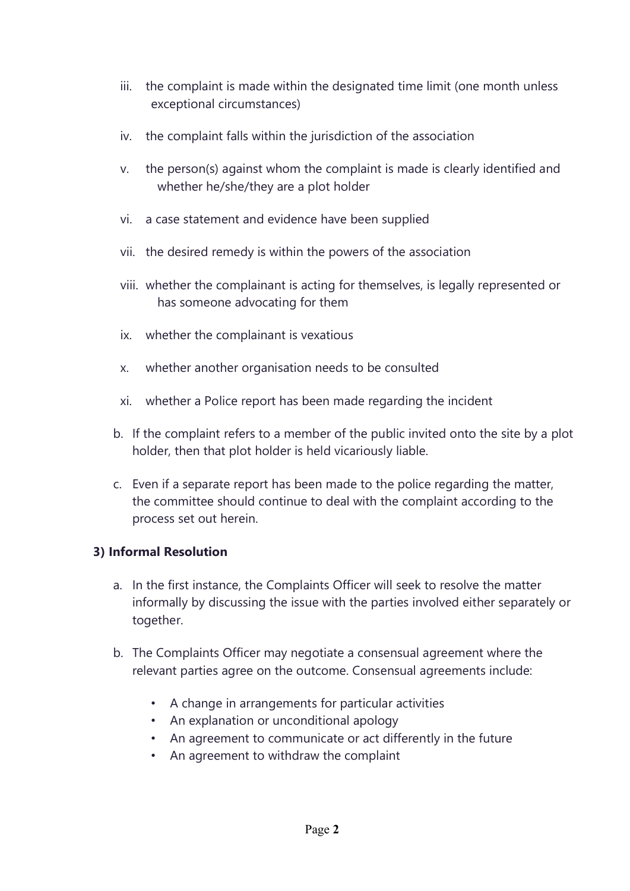- iii. the complaint is made within the designated time limit (one month unless exceptional circumstances)
- iv. the complaint falls within the jurisdiction of the association
- v. the person(s) against whom the complaint is made is clearly identified and whether he/she/they are a plot holder
- vi. a case statement and evidence have been supplied
- vii. the desired remedy is within the powers of the association
- viii. whether the complainant is acting for themselves, is legally represented or has someone advocating for them
- ix. whether the complainant is vexatious
- x. whether another organisation needs to be consulted
- xi. whether a Police report has been made regarding the incident
- b. If the complaint refers to a member of the public invited onto the site by a plot holder, then that plot holder is held vicariously liable.
- c. Even if a separate report has been made to the police regarding the matter, the committee should continue to deal with the complaint according to the process set out herein.

### **3) Informal Resolution**

- a. In the first instance, the Complaints Officer will seek to resolve the matter informally by discussing the issue with the parties involved either separately or together.
- b. The Complaints Officer may negotiate a consensual agreement where the relevant parties agree on the outcome. Consensual agreements include:
	- A change in arrangements for particular activities
	- An explanation or unconditional apology
	- An agreement to communicate or act differently in the future
	- An agreement to withdraw the complaint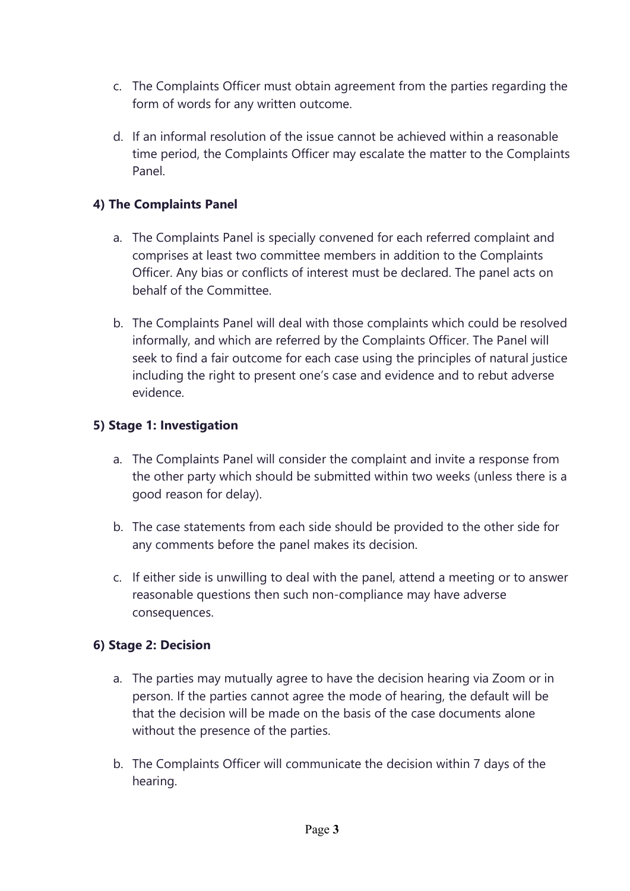- c. The Complaints Officer must obtain agreement from the parties regarding the form of words for any written outcome.
- d. If an informal resolution of the issue cannot be achieved within a reasonable time period, the Complaints Officer may escalate the matter to the Complaints Panel.

### **4) The Complaints Panel**

- a. The Complaints Panel is specially convened for each referred complaint and comprises at least two committee members in addition to the Complaints Officer. Any bias or conflicts of interest must be declared. The panel acts on behalf of the Committee.
- b. The Complaints Panel will deal with those complaints which could be resolved informally, and which are referred by the Complaints Officer. The Panel will seek to find a fair outcome for each case using the principles of natural justice including the right to present one's case and evidence and to rebut adverse evidence.

### **5) Stage 1: Investigation**

- a. The Complaints Panel will consider the complaint and invite a response from the other party which should be submitted within two weeks (unless there is a good reason for delay).
- b. The case statements from each side should be provided to the other side for any comments before the panel makes its decision.
- c. If either side is unwilling to deal with the panel, attend a meeting or to answer reasonable questions then such non-compliance may have adverse consequences.

### **6) Stage 2: Decision**

- a. The parties may mutually agree to have the decision hearing via Zoom or in person. If the parties cannot agree the mode of hearing, the default will be that the decision will be made on the basis of the case documents alone without the presence of the parties.
- b. The Complaints Officer will communicate the decision within 7 days of the hearing.